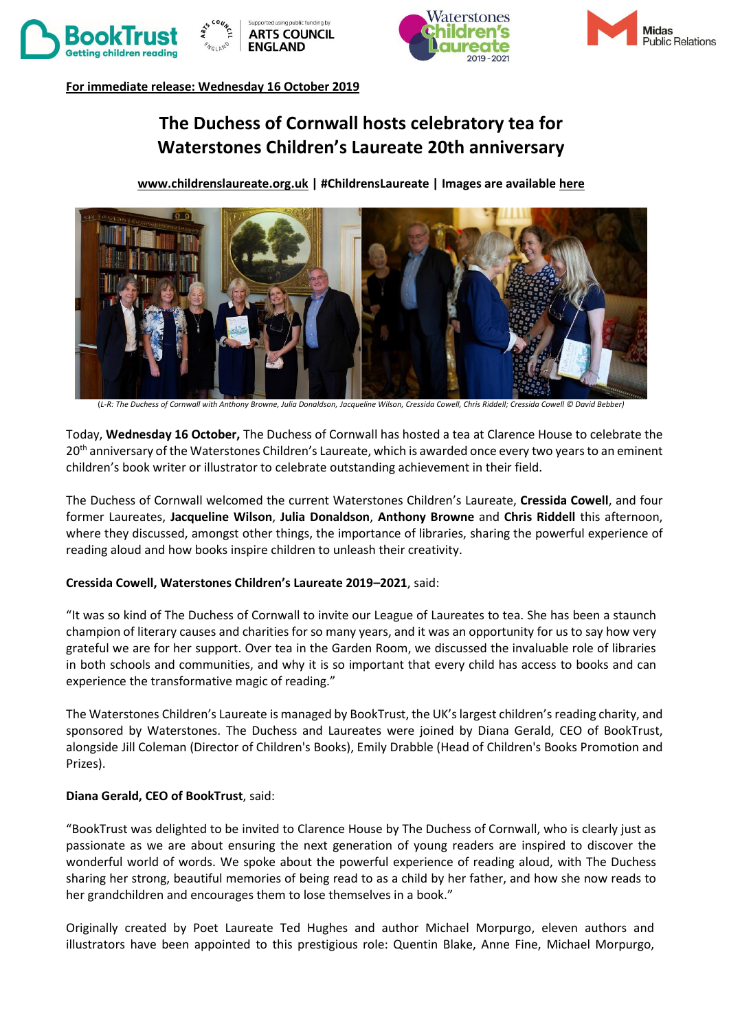







**For immediate release: Wednesday 16 October 2019** 

# **The Duchess of Cornwall hosts celebratory tea for Waterstones Children's Laureate 20th anniversary**

**www.childrenslaureate.org.uk | #ChildrensLaureate | Images are availabl[e here](https://www.dropbox.com/sh/qbqfpmch4w3raav/AABrl_gPCLgt-4W6Ol2MHux5a?dl=0)**



(*L-R: The Duchess of Cornwall with Anthony Browne, Julia Donaldson, Jacqueline Wilson, Cressida Cowell, Chris Riddell; Cressida Cowell © David Bebber)*

Today, **Wednesday 16 October,** The Duchess of Cornwall has hosted a tea at Clarence House to celebrate the 20<sup>th</sup> anniversary of the Waterstones Children's Laureate, which is awarded once every two years to an eminent children's book writer or illustrator to celebrate outstanding achievement in their field.

The Duchess of Cornwall welcomed the current Waterstones Children's Laureate, **Cressida Cowell**, and four former Laureates, **Jacqueline Wilson**, **Julia Donaldson**, **Anthony Browne** and **Chris Riddell** this afternoon, where they discussed, amongst other things, the importance of libraries, sharing the powerful experience of reading aloud and how books inspire children to unleash their creativity.

#### **Cressida Cowell, Waterstones Children's Laureate 2019–2021**, said:

"It was so kind of The Duchess of Cornwall to invite our League of Laureates to tea. She has been a staunch champion of literary causes and charities for so many years, and it was an opportunity for us to say how very grateful we are for her support. Over tea in the Garden Room, we discussed the invaluable role of libraries in both schools and communities, and why it is so important that every child has access to books and can experience the transformative magic of reading."

The Waterstones Children's Laureate is managed by BookTrust, the UK's largest children's reading charity, and sponsored by Waterstones. The Duchess and Laureates were joined by Diana Gerald, CEO of BookTrust, alongside Jill Coleman (Director of Children's Books), Emily Drabble (Head of Children's Books Promotion and Prizes).

## **Diana Gerald, CEO of BookTrust**, said:

"BookTrust was delighted to be invited to Clarence House by The Duchess of Cornwall, who is clearly just as passionate as we are about ensuring the next generation of young readers are inspired to discover the wonderful world of words. We spoke about the powerful experience of reading aloud, with The Duchess sharing her strong, beautiful memories of being read to as a child by her father, and how she now reads to her grandchildren and encourages them to lose themselves in a book."

Originally created by Poet Laureate Ted Hughes and author Michael Morpurgo, eleven authors and illustrators have been appointed to this prestigious role: Quentin Blake, Anne Fine, Michael Morpurgo,